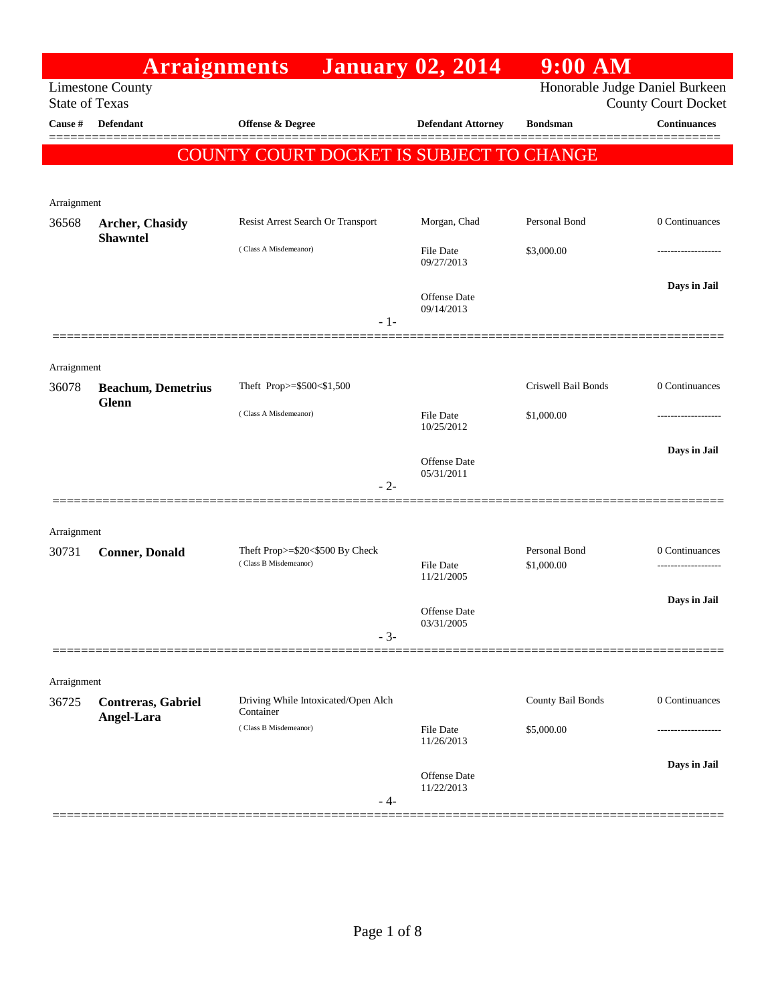|                       | <b>Arraignments</b>                       |                                          | <b>January 02, 2014</b>           | 9:00 AM                        |                            |
|-----------------------|-------------------------------------------|------------------------------------------|-----------------------------------|--------------------------------|----------------------------|
| <b>State of Texas</b> | <b>Limestone County</b>                   |                                          |                                   | Honorable Judge Daniel Burkeen | <b>County Court Docket</b> |
| Cause #               | Defendant                                 | Offense & Degree                         | <b>Defendant Attorney</b>         | <b>Bondsman</b>                | <b>Continuances</b>        |
|                       |                                           | COUNTY COURT DOCKET IS SUBJECT TO CHANGE |                                   |                                |                            |
|                       |                                           |                                          |                                   |                                |                            |
| Arraignment           |                                           |                                          |                                   |                                |                            |
| 36568                 | <b>Archer, Chasidy</b><br><b>Shawntel</b> | Resist Arrest Search Or Transport        | Morgan, Chad                      | Personal Bond                  | 0 Continuances             |
|                       |                                           | (Class A Misdemeanor)                    | <b>File Date</b><br>09/27/2013    | \$3,000.00                     | -----------------          |
|                       |                                           | $-1-$                                    | <b>Offense</b> Date<br>09/14/2013 |                                | Days in Jail               |
|                       |                                           |                                          |                                   |                                |                            |
| Arraignment           |                                           |                                          |                                   |                                |                            |
| 36078                 | <b>Beachum, Demetrius</b><br>Glenn        | Theft Prop>=\$500<\$1,500                |                                   | Criswell Bail Bonds            | 0 Continuances             |
|                       |                                           | (Class A Misdemeanor)                    | File Date<br>10/25/2012           | \$1,000.00                     | .                          |
|                       |                                           |                                          | Offense Date<br>05/31/2011        |                                | Days in Jail               |
|                       |                                           | $-2-$                                    |                                   |                                |                            |
| Arraignment           |                                           |                                          |                                   |                                |                            |
| 30731                 | <b>Conner</b> , Donald                    | Theft Prop>=\$20<\$500 By Check          |                                   | Personal Bond                  | 0 Continuances             |
|                       |                                           | (Class B Misdemeanor)                    | <b>File Date</b><br>11/21/2005    | \$1,000.00                     |                            |
|                       |                                           |                                          | <b>Offense</b> Date               |                                | Days in Jail               |
|                       |                                           | $-3-$                                    | 03/31/2005                        |                                |                            |
|                       |                                           |                                          |                                   |                                |                            |
| Arraignment<br>36725  |                                           | Driving While Intoxicated/Open Alch      |                                   | County Bail Bonds              | 0 Continuances             |
|                       | Contreras, Gabriel<br>Angel-Lara          | Container                                |                                   |                                |                            |
|                       |                                           | (Class B Misdemeanor)                    | <b>File Date</b><br>11/26/2013    | \$5,000.00                     | -----------------          |
|                       |                                           |                                          | Offense Date                      |                                | Days in Jail               |
|                       |                                           | - 4-                                     | 11/22/2013                        |                                |                            |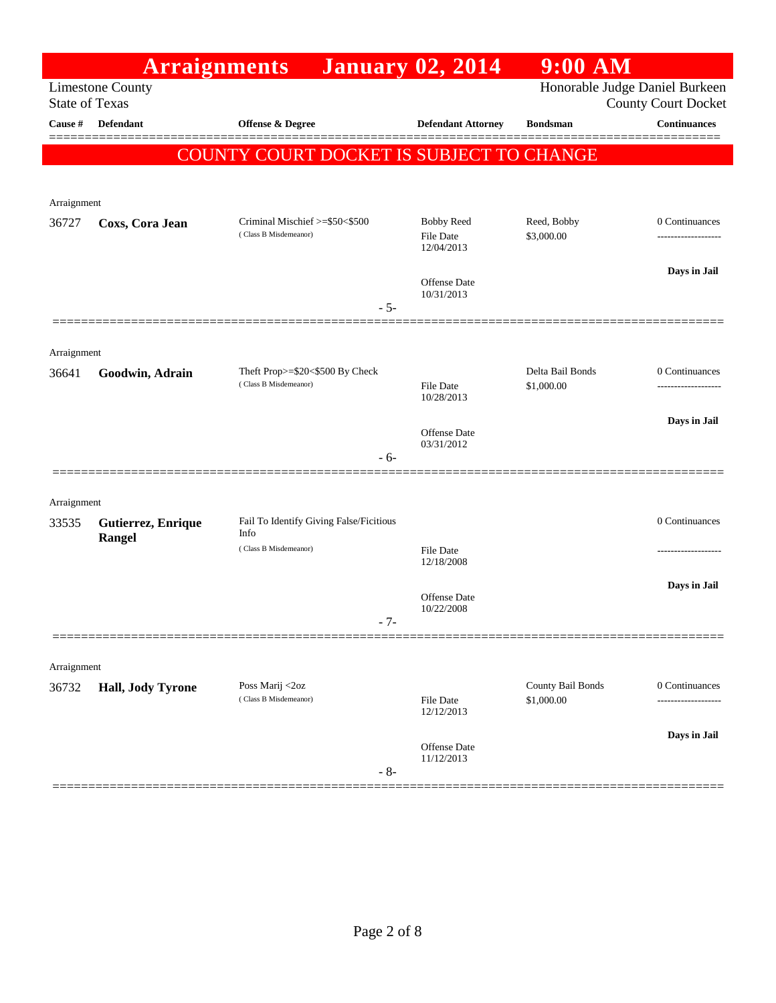|                       | <b>Arraignments</b>     |                                                          | <b>January 02, 2014</b>                             | $9:00$ AM                       |                                                              |
|-----------------------|-------------------------|----------------------------------------------------------|-----------------------------------------------------|---------------------------------|--------------------------------------------------------------|
| <b>State of Texas</b> | <b>Limestone County</b> |                                                          |                                                     |                                 | Honorable Judge Daniel Burkeen<br><b>County Court Docket</b> |
| Cause #               | <b>Defendant</b>        | <b>Offense &amp; Degree</b>                              | <b>Defendant Attorney</b>                           | <b>Bondsman</b>                 | <b>Continuances</b>                                          |
|                       |                         | <b>COUNTY COURT DOCKET IS SUBJECT TO CHANGE</b>          |                                                     |                                 | =======                                                      |
| Arraignment           |                         |                                                          |                                                     |                                 |                                                              |
| 36727                 | Coxs, Cora Jean         | Criminal Mischief >=\$50<\$500<br>(Class B Misdemeanor)  | <b>Bobby Reed</b><br><b>File Date</b><br>12/04/2013 | Reed, Bobby<br>\$3,000.00       | 0 Continuances                                               |
|                       |                         | $-5-$                                                    | Offense Date<br>10/31/2013                          |                                 | Days in Jail                                                 |
| Arraignment           |                         |                                                          |                                                     |                                 |                                                              |
| 36641                 | Goodwin, Adrain         | Theft Prop>=\$20<\$500 By Check<br>(Class B Misdemeanor) | <b>File Date</b><br>10/28/2013                      | Delta Bail Bonds<br>\$1,000.00  | 0 Continuances                                               |
|                       |                         | $-6-$                                                    | Offense Date<br>03/31/2012                          |                                 | Days in Jail                                                 |
| Arraignment           |                         |                                                          |                                                     |                                 |                                                              |
| 33535                 | Gutierrez, Enrique      | Fail To Identify Giving False/Ficitious<br>Info          |                                                     |                                 | 0 Continuances                                               |
|                       | Rangel                  | (Class B Misdemeanor)                                    | <b>File Date</b><br>12/18/2008                      |                                 |                                                              |
|                       |                         | $-7-$                                                    | <b>Offense</b> Date<br>10/22/2008                   |                                 | Days in Jail                                                 |
| Arraignment           |                         |                                                          |                                                     |                                 |                                                              |
| 36732                 | Hall, Jody Tyrone       | Poss Marij <2oz<br>(Class B Misdemeanor)                 | File Date<br>12/12/2013                             | County Bail Bonds<br>\$1,000.00 | 0 Continuances                                               |
|                       |                         | $-8-$                                                    | Offense Date<br>11/12/2013                          |                                 | Days in Jail                                                 |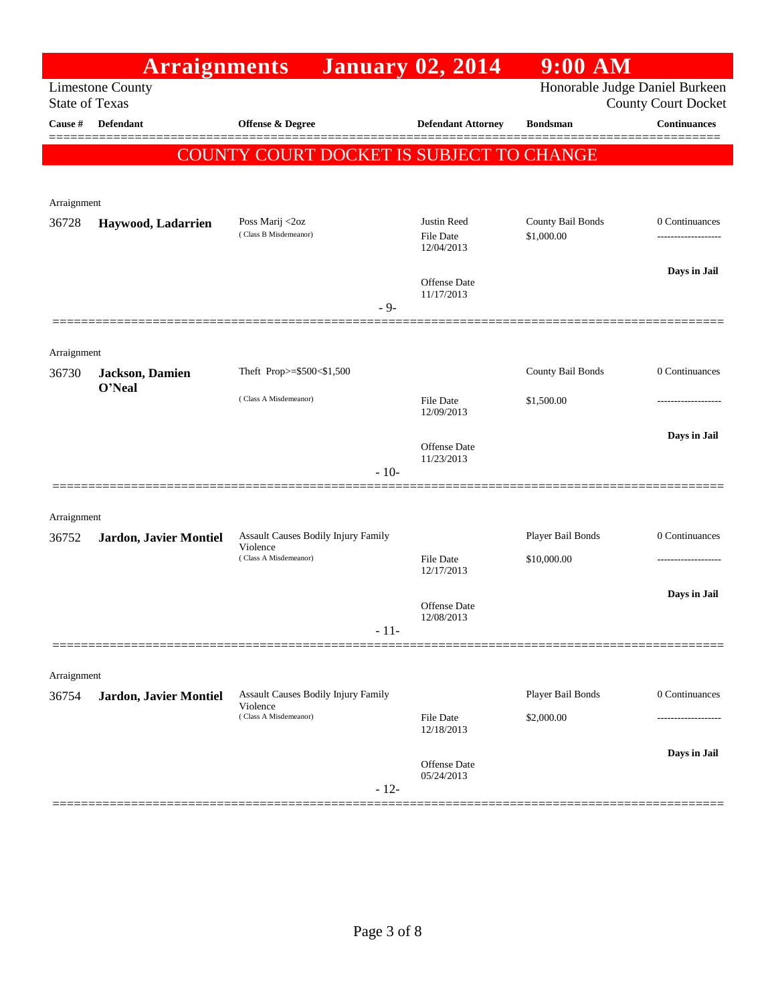|                       | <b>Arraignments</b>       |                                                        | <b>January 02, 2014</b>                       | $9:00$ AM                       |                                       |
|-----------------------|---------------------------|--------------------------------------------------------|-----------------------------------------------|---------------------------------|---------------------------------------|
| <b>State of Texas</b> | <b>Limestone County</b>   |                                                        |                                               | Honorable Judge Daniel Burkeen  | <b>County Court Docket</b>            |
| Cause #               | <b>Defendant</b>          | <b>Offense &amp; Degree</b>                            | <b>Defendant Attorney</b>                     | <b>Bondsman</b>                 | <b>Continuances</b>                   |
|                       |                           | COUNTY COURT DOCKET IS SUBJECT TO CHANGE               |                                               |                                 |                                       |
|                       |                           |                                                        |                                               |                                 |                                       |
| Arraignment           |                           |                                                        |                                               |                                 |                                       |
| 36728                 | Haywood, Ladarrien        | Poss Marij <2oz<br>(Class B Misdemeanor)               | Justin Reed<br><b>File Date</b><br>12/04/2013 | County Bail Bonds<br>\$1,000.00 | 0 Continuances<br>------------------- |
|                       |                           |                                                        |                                               |                                 | Days in Jail                          |
|                       |                           | $-9-$                                                  | Offense Date<br>11/17/2013                    |                                 |                                       |
|                       |                           |                                                        |                                               |                                 |                                       |
| Arraignment           |                           |                                                        |                                               |                                 |                                       |
| 36730                 | Jackson, Damien<br>O'Neal | Theft Prop>=\$500<\$1,500                              |                                               | County Bail Bonds               | 0 Continuances                        |
|                       |                           | (Class A Misdemeanor)                                  | <b>File Date</b><br>12/09/2013                | \$1,500.00                      |                                       |
|                       |                           |                                                        | <b>Offense Date</b>                           |                                 | Days in Jail                          |
|                       |                           | $-10-$                                                 | 11/23/2013                                    |                                 |                                       |
|                       |                           |                                                        |                                               |                                 |                                       |
| Arraignment           |                           |                                                        |                                               |                                 |                                       |
| 36752                 | Jardon, Javier Montiel    | Assault Causes Bodily Injury Family<br>Violence        |                                               | Player Bail Bonds               | 0 Continuances                        |
|                       |                           | (Class A Misdemeanor)                                  | <b>File Date</b><br>12/17/2013                | \$10,000.00                     |                                       |
|                       |                           |                                                        | Offense Date                                  |                                 | Days in Jail                          |
|                       |                           | $-11-$                                                 | 12/08/2013                                    |                                 |                                       |
|                       |                           |                                                        |                                               |                                 |                                       |
| Arraignment           |                           |                                                        |                                               |                                 |                                       |
| 36754                 | Jardon, Javier Montiel    | <b>Assault Causes Bodily Injury Family</b><br>Violence |                                               | Player Bail Bonds               | 0 Continuances                        |
|                       |                           | (Class A Misdemeanor)                                  | <b>File Date</b><br>12/18/2013                | \$2,000.00                      |                                       |
|                       |                           |                                                        | Offense Date                                  |                                 | Days in Jail                          |
|                       |                           | $-12-$                                                 | 05/24/2013                                    |                                 |                                       |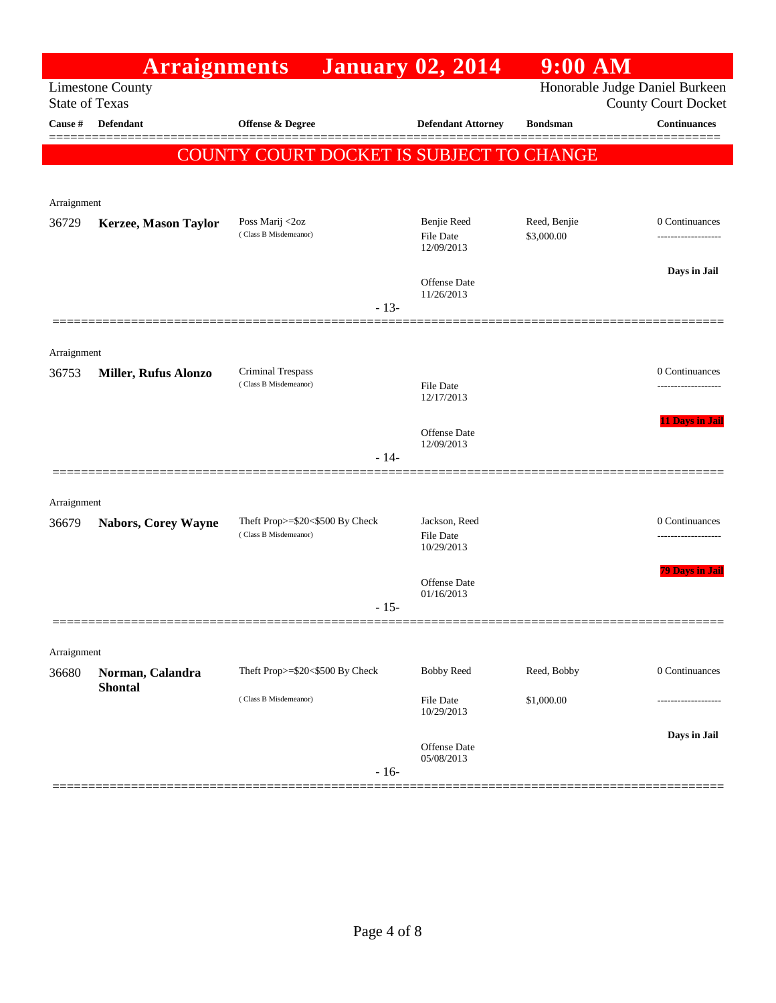|                                  | <b>Arraignments</b>         |                                          |        | <b>January 02, 2014</b>                       | $9:00$ AM                  |                                                   |
|----------------------------------|-----------------------------|------------------------------------------|--------|-----------------------------------------------|----------------------------|---------------------------------------------------|
|                                  | <b>Limestone County</b>     |                                          |        |                                               |                            | Honorable Judge Daniel Burkeen                    |
| <b>State of Texas</b><br>Cause # | <b>Defendant</b>            | <b>Offense &amp; Degree</b>              |        | <b>Defendant Attorney</b>                     | <b>Bondsman</b>            | <b>County Court Docket</b><br><b>Continuances</b> |
|                                  |                             |                                          |        |                                               |                            |                                                   |
|                                  |                             | COUNTY COURT DOCKET IS SUBJECT TO CHANGE |        |                                               |                            |                                                   |
|                                  |                             |                                          |        |                                               |                            |                                                   |
| Arraignment                      |                             |                                          |        |                                               |                            |                                                   |
| 36729                            | Kerzee, Mason Taylor        | Poss Marij <2oz<br>(Class B Misdemeanor) |        | Benjie Reed<br><b>File Date</b><br>12/09/2013 | Reed, Benjie<br>\$3,000.00 | 0 Continuances<br>-------------------             |
|                                  |                             |                                          |        | Offense Date<br>11/26/2013                    |                            | Days in Jail                                      |
|                                  |                             |                                          | $-13-$ |                                               |                            |                                                   |
| Arraignment                      |                             |                                          |        |                                               |                            |                                                   |
| 36753                            | <b>Miller, Rufus Alonzo</b> | Criminal Trespass                        |        |                                               |                            | 0 Continuances                                    |
|                                  |                             | (Class B Misdemeanor)                    |        | File Date<br>12/17/2013                       |                            | ------------------                                |
|                                  |                             |                                          |        |                                               |                            | 11 Days in Jail                                   |
|                                  |                             |                                          |        | <b>Offense</b> Date<br>12/09/2013             |                            |                                                   |
|                                  |                             |                                          | $-14-$ |                                               |                            |                                                   |
|                                  |                             |                                          |        |                                               |                            |                                                   |
| Arraignment<br>36679             | <b>Nabors, Corey Wayne</b>  | Theft Prop>=\$20<\$500 By Check          |        | Jackson, Reed                                 |                            | 0 Continuances                                    |
|                                  |                             | (Class B Misdemeanor)                    |        | <b>File Date</b><br>10/29/2013                |                            | ------------------                                |
|                                  |                             |                                          |        | <b>Offense</b> Date                           |                            | <b>79 Days in Jail</b>                            |
|                                  |                             |                                          | $-15-$ | 01/16/2013                                    |                            |                                                   |
|                                  |                             |                                          |        |                                               |                            |                                                   |
| Arraignment                      |                             |                                          |        |                                               |                            |                                                   |
| 36680                            | Norman, Calandra            | Theft Prop>=\$20<\$500 By Check          |        | <b>Bobby Reed</b>                             | Reed, Bobby                | 0 Continuances                                    |
|                                  | <b>Shontal</b>              | (Class B Misdemeanor)                    |        | File Date<br>10/29/2013                       | \$1,000.00                 |                                                   |
|                                  |                             |                                          | $-16-$ | Offense Date<br>05/08/2013                    |                            | Days in Jail                                      |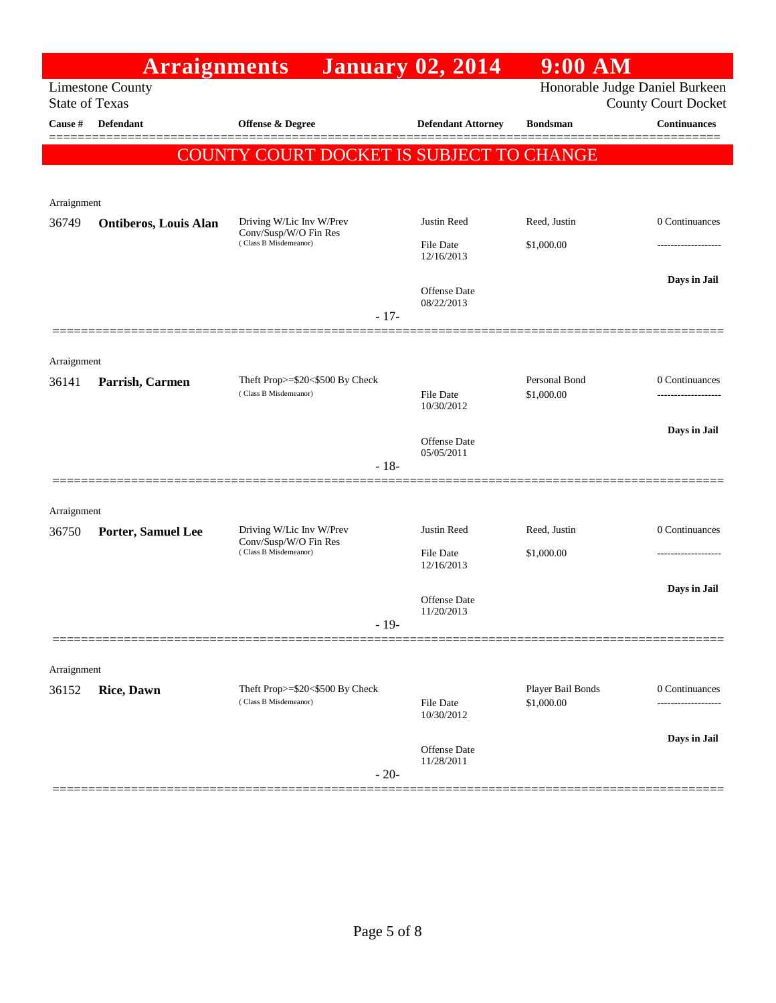|                       | <b>Arraignments</b>          |                                                          | <b>January 02, 2014</b>        | $9:00$ AM                       |                                                              |
|-----------------------|------------------------------|----------------------------------------------------------|--------------------------------|---------------------------------|--------------------------------------------------------------|
| <b>State of Texas</b> | <b>Limestone County</b>      |                                                          |                                |                                 | Honorable Judge Daniel Burkeen<br><b>County Court Docket</b> |
| Cause #               | Defendant                    | <b>Offense &amp; Degree</b>                              | <b>Defendant Attorney</b>      | <b>Bondsman</b>                 | <b>Continuances</b>                                          |
|                       |                              | <b>COUNTY COURT DOCKET IS SUBJECT TO CHANGE</b>          |                                |                                 |                                                              |
| Arraignment           |                              |                                                          |                                |                                 |                                                              |
| 36749                 | <b>Ontiberos, Louis Alan</b> | Driving W/Lic Inv W/Prev<br>Conv/Susp/W/O Fin Res        | <b>Justin Reed</b>             | Reed, Justin                    | 0 Continuances                                               |
|                       |                              | (Class B Misdemeanor)                                    | File Date<br>12/16/2013        | \$1,000.00                      |                                                              |
|                       |                              |                                                          | Offense Date<br>08/22/2013     |                                 | Days in Jail                                                 |
|                       |                              | $-17-$                                                   |                                |                                 |                                                              |
| Arraignment           |                              |                                                          |                                |                                 |                                                              |
| 36141                 | Parrish, Carmen              | Theft Prop>=\$20<\$500 By Check<br>(Class B Misdemeanor) | <b>File Date</b><br>10/30/2012 | Personal Bond<br>\$1,000.00     | 0 Continuances<br>-------------------                        |
|                       |                              |                                                          | <b>Offense Date</b>            |                                 | Days in Jail                                                 |
|                       |                              | $-18-$                                                   | 05/05/2011                     |                                 |                                                              |
| Arraignment           |                              |                                                          |                                |                                 |                                                              |
| 36750                 | <b>Porter, Samuel Lee</b>    | Driving W/Lic Inv W/Prev<br>Conv/Susp/W/O Fin Res        | Justin Reed                    | Reed, Justin                    | 0 Continuances                                               |
|                       |                              | (Class B Misdemeanor)                                    | File Date<br>12/16/2013        | \$1,000.00                      |                                                              |
|                       |                              |                                                          | Offense Date<br>11/20/2013     |                                 | Days in Jail                                                 |
|                       |                              | $-19-$                                                   |                                |                                 |                                                              |
| Arraignment           |                              |                                                          |                                |                                 |                                                              |
| 36152                 | <b>Rice, Dawn</b>            | Theft Prop>=\$20<\$500 By Check<br>(Class B Misdemeanor) | File Date<br>10/30/2012        | Player Bail Bonds<br>\$1,000.00 | 0 Continuances                                               |
|                       |                              |                                                          | Offense Date                   |                                 | Days in Jail                                                 |
|                       |                              | $-20-$                                                   | 11/28/2011                     |                                 |                                                              |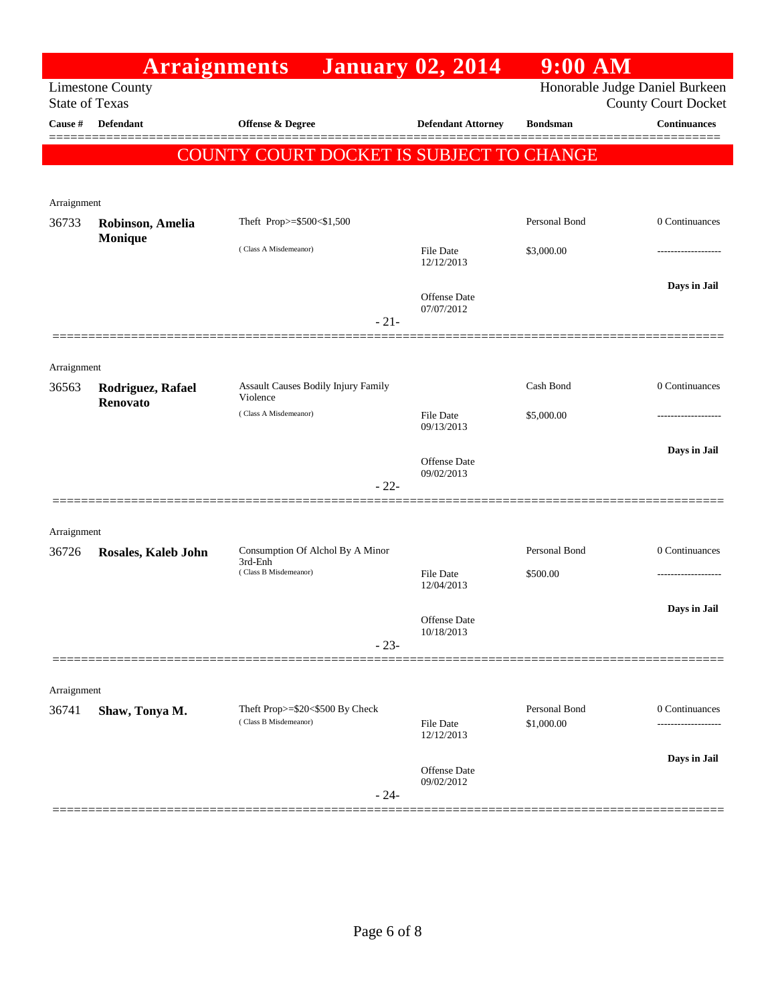| Honorable Judge Daniel Burkeen<br><b>Limestone County</b><br><b>State of Texas</b><br>Defendant<br>Cause #<br><b>Offense &amp; Degree</b><br><b>Defendant Attorney</b><br><b>Bondsman</b><br>COUNTY COURT DOCKET IS SUBJECT TO CHANGE<br>Arraignment<br>Personal Bond<br>Theft Prop>=\$500<\$1,500<br>36733<br>Robinson, Amelia<br><b>Monique</b><br>(Class A Misdemeanor)<br><b>File Date</b><br>\$3,000.00<br>12/12/2013<br><b>Offense Date</b><br>07/07/2012<br>$-21-$<br>Arraignment<br>Assault Causes Bodily Injury Family<br>Cash Bond<br>Rodriguez, Rafael<br>36563<br>Violence<br>Renovato<br>(Class A Misdemeanor)<br>\$5,000.00<br><b>File Date</b><br>09/13/2013<br><b>Offense</b> Date<br>09/02/2013<br>$-22-$<br>Arraignment<br>Personal Bond<br>Consumption Of Alchol By A Minor<br>36726<br>Rosales, Kaleb John<br>3rd-Enh<br>(Class B Misdemeanor)<br><b>File Date</b><br>\$500.00<br>12/04/2013<br>Offense Date<br>10/18/2013<br>$-23-$<br>Arraignment<br>Personal Bond<br>Theft Prop>=\$20<\$500 By Check<br>36741<br>Shaw, Tonya M.<br>(Class B Misdemeanor)<br>\$1,000.00<br>File Date<br>12/12/2013 |                            | $9:00$ AM | <b>January 02, 2014</b> | <b>Arraignments</b> |  |
|--------------------------------------------------------------------------------------------------------------------------------------------------------------------------------------------------------------------------------------------------------------------------------------------------------------------------------------------------------------------------------------------------------------------------------------------------------------------------------------------------------------------------------------------------------------------------------------------------------------------------------------------------------------------------------------------------------------------------------------------------------------------------------------------------------------------------------------------------------------------------------------------------------------------------------------------------------------------------------------------------------------------------------------------------------------------------------------------------------------------------|----------------------------|-----------|-------------------------|---------------------|--|
|                                                                                                                                                                                                                                                                                                                                                                                                                                                                                                                                                                                                                                                                                                                                                                                                                                                                                                                                                                                                                                                                                                                          | <b>County Court Docket</b> |           |                         |                     |  |
|                                                                                                                                                                                                                                                                                                                                                                                                                                                                                                                                                                                                                                                                                                                                                                                                                                                                                                                                                                                                                                                                                                                          | <b>Continuances</b>        |           |                         |                     |  |
|                                                                                                                                                                                                                                                                                                                                                                                                                                                                                                                                                                                                                                                                                                                                                                                                                                                                                                                                                                                                                                                                                                                          |                            |           |                         |                     |  |
|                                                                                                                                                                                                                                                                                                                                                                                                                                                                                                                                                                                                                                                                                                                                                                                                                                                                                                                                                                                                                                                                                                                          |                            |           |                         |                     |  |
|                                                                                                                                                                                                                                                                                                                                                                                                                                                                                                                                                                                                                                                                                                                                                                                                                                                                                                                                                                                                                                                                                                                          |                            |           |                         |                     |  |
|                                                                                                                                                                                                                                                                                                                                                                                                                                                                                                                                                                                                                                                                                                                                                                                                                                                                                                                                                                                                                                                                                                                          | 0 Continuances             |           |                         |                     |  |
|                                                                                                                                                                                                                                                                                                                                                                                                                                                                                                                                                                                                                                                                                                                                                                                                                                                                                                                                                                                                                                                                                                                          | .                          |           |                         |                     |  |
|                                                                                                                                                                                                                                                                                                                                                                                                                                                                                                                                                                                                                                                                                                                                                                                                                                                                                                                                                                                                                                                                                                                          | Days in Jail               |           |                         |                     |  |
|                                                                                                                                                                                                                                                                                                                                                                                                                                                                                                                                                                                                                                                                                                                                                                                                                                                                                                                                                                                                                                                                                                                          |                            |           |                         |                     |  |
|                                                                                                                                                                                                                                                                                                                                                                                                                                                                                                                                                                                                                                                                                                                                                                                                                                                                                                                                                                                                                                                                                                                          |                            |           |                         |                     |  |
|                                                                                                                                                                                                                                                                                                                                                                                                                                                                                                                                                                                                                                                                                                                                                                                                                                                                                                                                                                                                                                                                                                                          | 0 Continuances             |           |                         |                     |  |
|                                                                                                                                                                                                                                                                                                                                                                                                                                                                                                                                                                                                                                                                                                                                                                                                                                                                                                                                                                                                                                                                                                                          | ----------------           |           |                         |                     |  |
|                                                                                                                                                                                                                                                                                                                                                                                                                                                                                                                                                                                                                                                                                                                                                                                                                                                                                                                                                                                                                                                                                                                          | Days in Jail               |           |                         |                     |  |
|                                                                                                                                                                                                                                                                                                                                                                                                                                                                                                                                                                                                                                                                                                                                                                                                                                                                                                                                                                                                                                                                                                                          |                            |           |                         |                     |  |
|                                                                                                                                                                                                                                                                                                                                                                                                                                                                                                                                                                                                                                                                                                                                                                                                                                                                                                                                                                                                                                                                                                                          |                            |           |                         |                     |  |
|                                                                                                                                                                                                                                                                                                                                                                                                                                                                                                                                                                                                                                                                                                                                                                                                                                                                                                                                                                                                                                                                                                                          | 0 Continuances             |           |                         |                     |  |
|                                                                                                                                                                                                                                                                                                                                                                                                                                                                                                                                                                                                                                                                                                                                                                                                                                                                                                                                                                                                                                                                                                                          |                            |           |                         |                     |  |
|                                                                                                                                                                                                                                                                                                                                                                                                                                                                                                                                                                                                                                                                                                                                                                                                                                                                                                                                                                                                                                                                                                                          | Days in Jail               |           |                         |                     |  |
|                                                                                                                                                                                                                                                                                                                                                                                                                                                                                                                                                                                                                                                                                                                                                                                                                                                                                                                                                                                                                                                                                                                          |                            |           |                         |                     |  |
|                                                                                                                                                                                                                                                                                                                                                                                                                                                                                                                                                                                                                                                                                                                                                                                                                                                                                                                                                                                                                                                                                                                          |                            |           |                         |                     |  |
|                                                                                                                                                                                                                                                                                                                                                                                                                                                                                                                                                                                                                                                                                                                                                                                                                                                                                                                                                                                                                                                                                                                          |                            |           |                         |                     |  |
|                                                                                                                                                                                                                                                                                                                                                                                                                                                                                                                                                                                                                                                                                                                                                                                                                                                                                                                                                                                                                                                                                                                          | 0 Continuances             |           |                         |                     |  |
|                                                                                                                                                                                                                                                                                                                                                                                                                                                                                                                                                                                                                                                                                                                                                                                                                                                                                                                                                                                                                                                                                                                          | Days in Jail               |           |                         |                     |  |
| Offense Date<br>09/02/2012<br>$-24-$                                                                                                                                                                                                                                                                                                                                                                                                                                                                                                                                                                                                                                                                                                                                                                                                                                                                                                                                                                                                                                                                                     |                            |           |                         |                     |  |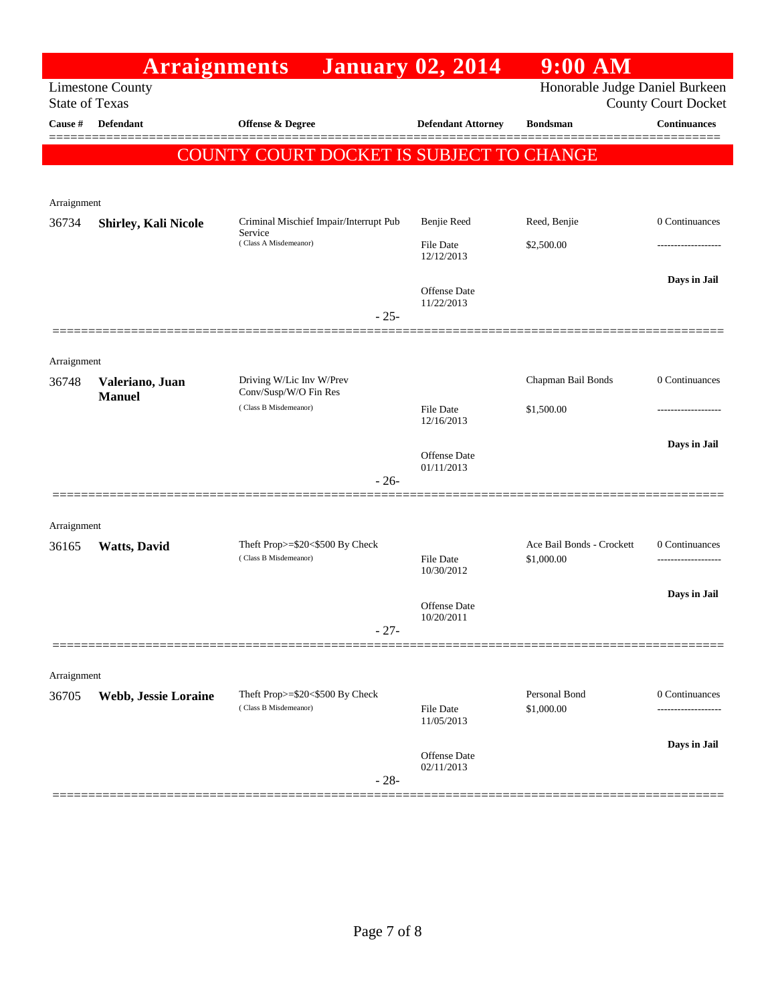|                       | <b>Arraignments</b>              |                                                          | <b>January 02, 2014</b>        | $9:00$ AM                               |                            |
|-----------------------|----------------------------------|----------------------------------------------------------|--------------------------------|-----------------------------------------|----------------------------|
| <b>State of Texas</b> | <b>Limestone County</b>          |                                                          |                                | Honorable Judge Daniel Burkeen          | <b>County Court Docket</b> |
| Cause #               | Defendant                        | <b>Offense &amp; Degree</b>                              | <b>Defendant Attorney</b>      | <b>Bondsman</b>                         | <b>Continuances</b>        |
|                       |                                  | COUNTY COURT DOCKET IS SUBJECT TO CHANGE                 |                                |                                         |                            |
|                       |                                  |                                                          |                                |                                         |                            |
| Arraignment           |                                  |                                                          |                                |                                         |                            |
| 36734                 | <b>Shirley, Kali Nicole</b>      | Criminal Mischief Impair/Interrupt Pub<br>Service        | Benjie Reed                    | Reed, Benjie                            | 0 Continuances             |
|                       |                                  | (Class A Misdemeanor)                                    | File Date<br>12/12/2013        | \$2,500.00                              |                            |
|                       |                                  |                                                          | Offense Date<br>11/22/2013     |                                         | Days in Jail               |
|                       |                                  | $-25-$                                                   |                                |                                         |                            |
| Arraignment           |                                  |                                                          |                                |                                         |                            |
| 36748                 | Valeriano, Juan<br><b>Manuel</b> | Driving W/Lic Inv W/Prev<br>Conv/Susp/W/O Fin Res        |                                | Chapman Bail Bonds                      | 0 Continuances             |
|                       |                                  | (Class B Misdemeanor)                                    | File Date<br>12/16/2013        | \$1,500.00                              |                            |
|                       |                                  |                                                          | <b>Offense</b> Date            |                                         | Days in Jail               |
|                       |                                  | $-26-$                                                   | 01/11/2013                     |                                         |                            |
|                       |                                  |                                                          |                                |                                         |                            |
| Arraignment           |                                  |                                                          |                                |                                         |                            |
| 36165                 | <b>Watts, David</b>              | Theft Prop>=\$20<\$500 By Check<br>(Class B Misdemeanor) | <b>File Date</b>               | Ace Bail Bonds - Crockett<br>\$1,000.00 | 0 Continuances             |
|                       |                                  |                                                          | 10/30/2012                     |                                         |                            |
|                       |                                  |                                                          | Offense Date                   |                                         | Days in Jail               |
|                       |                                  | $-27-$                                                   | 10/20/2011                     |                                         |                            |
|                       |                                  |                                                          |                                |                                         |                            |
| Arraignment           |                                  |                                                          |                                |                                         |                            |
| 36705                 | Webb, Jessie Loraine             | Theft Prop>=\$20<\$500 By Check<br>(Class B Misdemeanor) | <b>File Date</b><br>11/05/2013 | Personal Bond<br>\$1,000.00             | 0 Continuances             |
|                       |                                  |                                                          |                                |                                         | Days in Jail               |
|                       |                                  | $-28-$                                                   | Offense Date<br>02/11/2013     |                                         |                            |